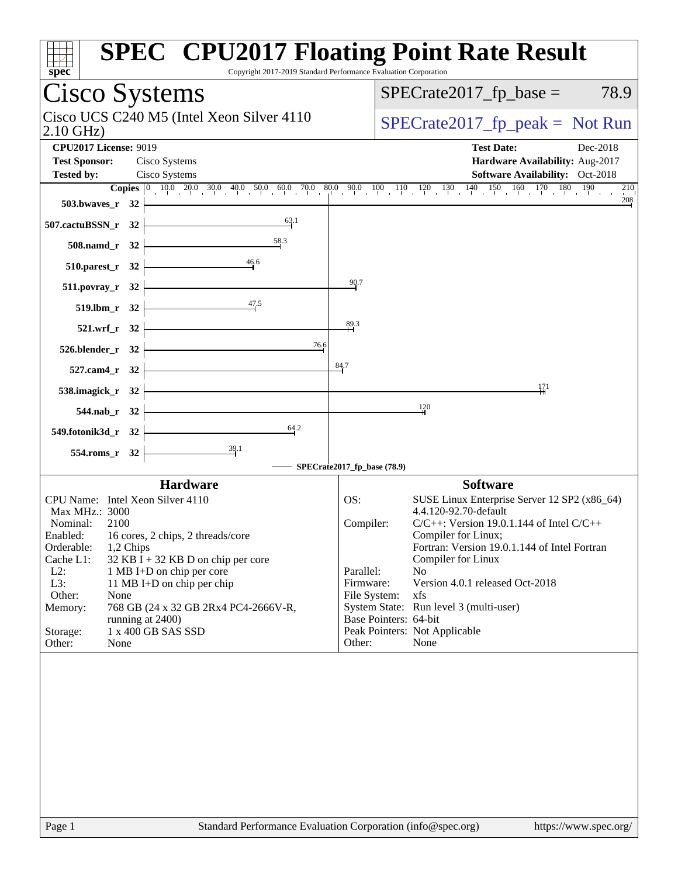| spec                                                                                                                                                                                                                                                                                                                                                                                                                                             | <b>SPEC<sup>®</sup> CPU2017 Floating Point Rate Result</b><br>Copyright 2017-2019 Standard Performance Evaluation Corporation                                                                                                                                                                                                                                                                                                                                                          |
|--------------------------------------------------------------------------------------------------------------------------------------------------------------------------------------------------------------------------------------------------------------------------------------------------------------------------------------------------------------------------------------------------------------------------------------------------|----------------------------------------------------------------------------------------------------------------------------------------------------------------------------------------------------------------------------------------------------------------------------------------------------------------------------------------------------------------------------------------------------------------------------------------------------------------------------------------|
| <b>Cisco Systems</b>                                                                                                                                                                                                                                                                                                                                                                                                                             | $SPECrate2017_fp\_base =$<br>78.9                                                                                                                                                                                                                                                                                                                                                                                                                                                      |
| Cisco UCS C240 M5 (Intel Xeon Silver 4110)<br>$2.10$ GHz)                                                                                                                                                                                                                                                                                                                                                                                        | $SPECrate2017_fp\_peak = Not Run$                                                                                                                                                                                                                                                                                                                                                                                                                                                      |
| <b>CPU2017 License: 9019</b><br><b>Test Sponsor:</b><br>Cisco Systems<br>Cisco Systems<br><b>Tested by:</b>                                                                                                                                                                                                                                                                                                                                      | <b>Test Date:</b><br>Dec-2018<br>Hardware Availability: Aug-2017<br><b>Software Availability:</b> Oct-2018<br>$^{210}$                                                                                                                                                                                                                                                                                                                                                                 |
| 503.bwaves_r $32$ $-$<br>507.cactuBSSN_r 32 $\vert$                                                                                                                                                                                                                                                                                                                                                                                              | 208                                                                                                                                                                                                                                                                                                                                                                                                                                                                                    |
| 508.namd_r 32 $\frac{58.3}{1}$                                                                                                                                                                                                                                                                                                                                                                                                                   |                                                                                                                                                                                                                                                                                                                                                                                                                                                                                        |
| 510.parest_r 32 $\overline{ )}$ 46.6                                                                                                                                                                                                                                                                                                                                                                                                             |                                                                                                                                                                                                                                                                                                                                                                                                                                                                                        |
| $511.povray_r$ $32$ $\overline{\phantom{a}}$<br>519.lbm_r 32 $\frac{47.5}{4}$                                                                                                                                                                                                                                                                                                                                                                    | 90.7                                                                                                                                                                                                                                                                                                                                                                                                                                                                                   |
|                                                                                                                                                                                                                                                                                                                                                                                                                                                  | 89.3                                                                                                                                                                                                                                                                                                                                                                                                                                                                                   |
| $521.wrf_r$ $32$<br>$526.blender_r$ $32$<br>76.6                                                                                                                                                                                                                                                                                                                                                                                                 |                                                                                                                                                                                                                                                                                                                                                                                                                                                                                        |
| $527.cam4_r$ $32$                                                                                                                                                                                                                                                                                                                                                                                                                                | 84.7                                                                                                                                                                                                                                                                                                                                                                                                                                                                                   |
| 538.imagick_r 32 $\overline{\qquad}$                                                                                                                                                                                                                                                                                                                                                                                                             | 171                                                                                                                                                                                                                                                                                                                                                                                                                                                                                    |
| $544.nab_r$ $32$<br>549.fotonik3d_r 32 $\left $ $\right $<br>64.2                                                                                                                                                                                                                                                                                                                                                                                | $\frac{120}{4}$                                                                                                                                                                                                                                                                                                                                                                                                                                                                        |
| $\overline{\phantom{1}39.1}$<br>$554$ .roms_r 32 $\vdash$                                                                                                                                                                                                                                                                                                                                                                                        |                                                                                                                                                                                                                                                                                                                                                                                                                                                                                        |
|                                                                                                                                                                                                                                                                                                                                                                                                                                                  | SPECrate2017_fp_base (78.9)                                                                                                                                                                                                                                                                                                                                                                                                                                                            |
| <b>Hardware</b><br>CPU Name: Intel Xeon Silver 4110<br>Max MHz.: 3000<br>Nominal:<br>2100<br>Enabled: 16 cores, 2 chips, 2 threads/core<br>Orderable:<br>1,2 Chips<br>Cache L1:<br>$32$ KB I + 32 KB D on chip per core<br>$L2$ :<br>1 MB I+D on chip per core<br>L3:<br>11 MB I+D on chip per chip<br>Other:<br>None<br>768 GB (24 x 32 GB 2Rx4 PC4-2666V-R,<br>Memory:<br>running at 2400)<br>1 x 400 GB SAS SSD<br>Storage:<br>Other:<br>None | <b>Software</b><br>OS:<br>SUSE Linux Enterprise Server 12 SP2 (x86_64)<br>4.4.120-92.70-default<br>$C/C++$ : Version 19.0.1.144 of Intel $C/C++$<br>Compiler:<br>Compiler for Linux;<br>Fortran: Version 19.0.1.144 of Intel Fortran<br>Compiler for Linux<br>Parallel:<br>N <sub>o</sub><br>Version 4.0.1 released Oct-2018<br>Firmware:<br>File System:<br>xfs<br>System State: Run level 3 (multi-user)<br>Base Pointers: 64-bit<br>Peak Pointers: Not Applicable<br>Other:<br>None |
| $D_{0}$ on 1                                                                                                                                                                                                                                                                                                                                                                                                                                     | Standard Darformange Evaluation Corneration (info@enee.org)<br>http://www.000000                                                                                                                                                                                                                                                                                                                                                                                                       |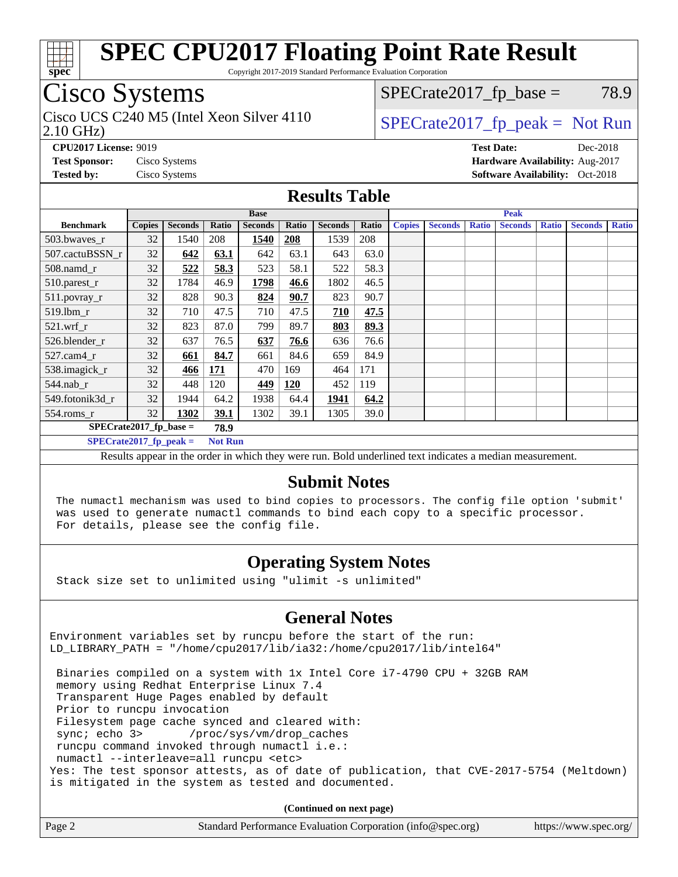

Copyright 2017-2019 Standard Performance Evaluation Corporation

## Cisco Systems

2.10 GHz) Cisco UCS C240 M5 (Intel Xeon Silver 4110  $\big|$  SPECrate 2017 fp peak = Not Run

 $SPECTate2017<sub>fp</sub> base = 78.9$ 

**[CPU2017 License:](http://www.spec.org/auto/cpu2017/Docs/result-fields.html#CPU2017License)** 9019 **[Test Date:](http://www.spec.org/auto/cpu2017/Docs/result-fields.html#TestDate)** Dec-2018 **[Test Sponsor:](http://www.spec.org/auto/cpu2017/Docs/result-fields.html#TestSponsor)** Cisco Systems **[Hardware Availability:](http://www.spec.org/auto/cpu2017/Docs/result-fields.html#HardwareAvailability)** Aug-2017 **[Tested by:](http://www.spec.org/auto/cpu2017/Docs/result-fields.html#Testedby)** Cisco Systems **Cisco Systems [Software Availability:](http://www.spec.org/auto/cpu2017/Docs/result-fields.html#SoftwareAvailability)** Oct-2018

#### **[Results Table](http://www.spec.org/auto/cpu2017/Docs/result-fields.html#ResultsTable)**

|                                   | <b>Base</b>   |                |                |                | <b>Peak</b> |                |       |               |                |              |                |              |                |              |
|-----------------------------------|---------------|----------------|----------------|----------------|-------------|----------------|-------|---------------|----------------|--------------|----------------|--------------|----------------|--------------|
| <b>Benchmark</b>                  | <b>Copies</b> | <b>Seconds</b> | <b>Ratio</b>   | <b>Seconds</b> | Ratio       | <b>Seconds</b> | Ratio | <b>Copies</b> | <b>Seconds</b> | <b>Ratio</b> | <b>Seconds</b> | <b>Ratio</b> | <b>Seconds</b> | <b>Ratio</b> |
| 503.bwayes_r                      | 32            | 1540           | 208            | 1540           | <b>208</b>  | 1539           | 208   |               |                |              |                |              |                |              |
| 507.cactuBSSN r                   | 32            | 642            | 63.1           | 642            | 63.1        | 643            | 63.0  |               |                |              |                |              |                |              |
| $508$ .namd $r$                   | 32            | 522            | 58.3           | 523            | 58.1        | 522            | 58.3  |               |                |              |                |              |                |              |
| 510.parest_r                      | 32            | 1784           | 46.9           | 1798           | 46.6        | 1802           | 46.5  |               |                |              |                |              |                |              |
| 511.povray_r                      | 32            | 828            | 90.3           | 824            | 90.7        | 823            | 90.7  |               |                |              |                |              |                |              |
| 519.lbm r                         | 32            | 710            | 47.5           | 710            | 47.5        | 710            | 47.5  |               |                |              |                |              |                |              |
| $521.wrf_r$                       | 32            | 823            | 87.0           | 799            | 89.7        | 803            | 89.3  |               |                |              |                |              |                |              |
| 526.blender r                     | 32            | 637            | 76.5           | 637            | 76.6        | 636            | 76.6  |               |                |              |                |              |                |              |
| $527$ .cam $4r$                   | 32            | 661            | 84.7           | 661            | 84.6        | 659            | 84.9  |               |                |              |                |              |                |              |
| 538.imagick_r                     | 32            | 466            | 171            | 470            | 169         | 464            | 171   |               |                |              |                |              |                |              |
| $544$ .nab_r                      | 32            | 448            | 120            | 449            | 120         | 452            | 119   |               |                |              |                |              |                |              |
| 549.fotonik3d r                   | 32            | 1944           | 64.2           | 1938           | 64.4        | 1941           | 64.2  |               |                |              |                |              |                |              |
| $554$ .roms_r                     | 32            | 1302           | 39.1           | 1302           | 39.1        | 1305           | 39.0  |               |                |              |                |              |                |              |
| $SPECrate2017_fp\_base =$<br>78.9 |               |                |                |                |             |                |       |               |                |              |                |              |                |              |
| $SPECrate2017$ fp peak =          |               |                | <b>Not Run</b> |                |             |                |       |               |                |              |                |              |                |              |

Results appear in the [order in which they were run.](http://www.spec.org/auto/cpu2017/Docs/result-fields.html#RunOrder) Bold underlined text [indicates a median measurement.](http://www.spec.org/auto/cpu2017/Docs/result-fields.html#Median)

#### **[Submit Notes](http://www.spec.org/auto/cpu2017/Docs/result-fields.html#SubmitNotes)**

 The numactl mechanism was used to bind copies to processors. The config file option 'submit' was used to generate numactl commands to bind each copy to a specific processor. For details, please see the config file.

### **[Operating System Notes](http://www.spec.org/auto/cpu2017/Docs/result-fields.html#OperatingSystemNotes)**

Stack size set to unlimited using "ulimit -s unlimited"

### **[General Notes](http://www.spec.org/auto/cpu2017/Docs/result-fields.html#GeneralNotes)**

Environment variables set by runcpu before the start of the run: LD\_LIBRARY\_PATH = "/home/cpu2017/lib/ia32:/home/cpu2017/lib/intel64"

 Binaries compiled on a system with 1x Intel Core i7-4790 CPU + 32GB RAM memory using Redhat Enterprise Linux 7.4 Transparent Huge Pages enabled by default Prior to runcpu invocation Filesystem page cache synced and cleared with: sync; echo 3> /proc/sys/vm/drop\_caches runcpu command invoked through numactl i.e.: numactl --interleave=all runcpu <etc> Yes: The test sponsor attests, as of date of publication, that CVE-2017-5754 (Meltdown) is mitigated in the system as tested and documented.

**(Continued on next page)**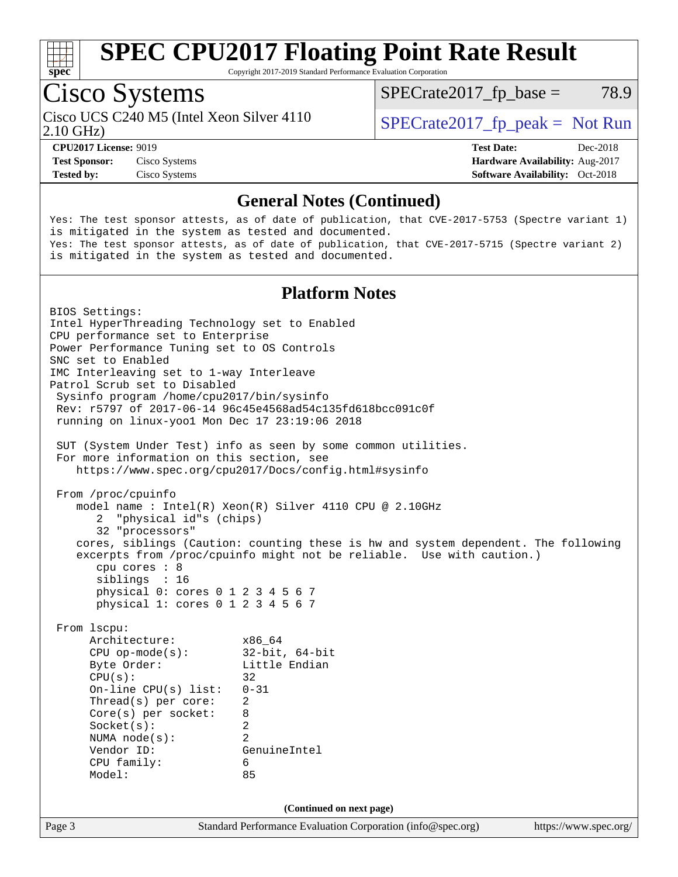

Copyright 2017-2019 Standard Performance Evaluation Corporation

## Cisco Systems

Cisco UCS C240 M5 (Intel Xeon Silver 4110  $\big|$  SPECrate 2017 fp peak = Not Run

 $SPECTate2017<sub>fp</sub> base = 78.9$ 

2.10 GHz)

**[Test Sponsor:](http://www.spec.org/auto/cpu2017/Docs/result-fields.html#TestSponsor)** Cisco Systems **[Hardware Availability:](http://www.spec.org/auto/cpu2017/Docs/result-fields.html#HardwareAvailability)** Aug-2017

**[CPU2017 License:](http://www.spec.org/auto/cpu2017/Docs/result-fields.html#CPU2017License)** 9019 **[Test Date:](http://www.spec.org/auto/cpu2017/Docs/result-fields.html#TestDate)** Dec-2018 **[Tested by:](http://www.spec.org/auto/cpu2017/Docs/result-fields.html#Testedby)** Cisco Systems **[Software Availability:](http://www.spec.org/auto/cpu2017/Docs/result-fields.html#SoftwareAvailability)** Oct-2018

### **[General Notes \(Continued\)](http://www.spec.org/auto/cpu2017/Docs/result-fields.html#GeneralNotes)**

Yes: The test sponsor attests, as of date of publication, that CVE-2017-5753 (Spectre variant 1) is mitigated in the system as tested and documented. Yes: The test sponsor attests, as of date of publication, that CVE-2017-5715 (Spectre variant 2) is mitigated in the system as tested and documented.

#### **[Platform Notes](http://www.spec.org/auto/cpu2017/Docs/result-fields.html#PlatformNotes)**

Page 3 Standard Performance Evaluation Corporation [\(info@spec.org\)](mailto:info@spec.org) <https://www.spec.org/> BIOS Settings: Intel HyperThreading Technology set to Enabled CPU performance set to Enterprise Power Performance Tuning set to OS Controls SNC set to Enabled IMC Interleaving set to 1-way Interleave Patrol Scrub set to Disabled Sysinfo program /home/cpu2017/bin/sysinfo Rev: r5797 of 2017-06-14 96c45e4568ad54c135fd618bcc091c0f running on linux-yoo1 Mon Dec 17 23:19:06 2018 SUT (System Under Test) info as seen by some common utilities. For more information on this section, see <https://www.spec.org/cpu2017/Docs/config.html#sysinfo> From /proc/cpuinfo model name : Intel(R) Xeon(R) Silver 4110 CPU @ 2.10GHz 2 "physical id"s (chips) 32 "processors" cores, siblings (Caution: counting these is hw and system dependent. The following excerpts from /proc/cpuinfo might not be reliable. Use with caution.) cpu cores : 8 siblings : 16 physical 0: cores 0 1 2 3 4 5 6 7 physical 1: cores 0 1 2 3 4 5 6 7 From lscpu: Architecture: x86\_64 CPU op-mode(s): 32-bit, 64-bit Byte Order: Little Endian  $CPU(s):$  32 On-line CPU(s) list: 0-31 Thread(s) per core: 2 Core(s) per socket: 8 Socket(s): 2 NUMA node(s): 2 Vendor ID: GenuineIntel CPU family: 6 Model: 85 **(Continued on next page)**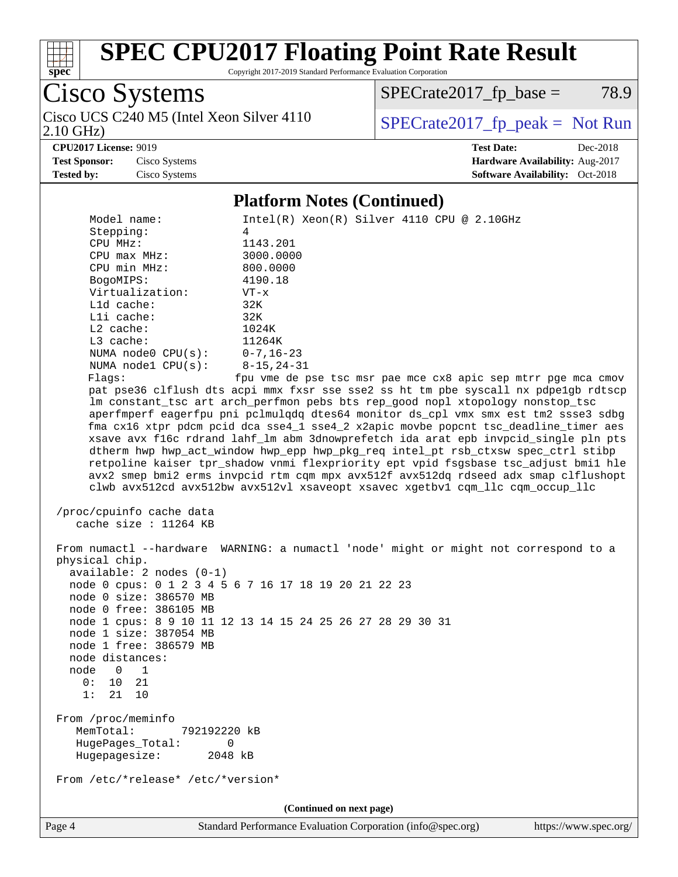

Copyright 2017-2019 Standard Performance Evaluation Corporation

Cisco Systems 2.10 GHz) Cisco UCS C240 M5 (Intel Xeon Silver 4110  $\boxed{\text{SPECrate2017\_fp\_peak} = \text{Not Run}}$ 

 $SPECTate2017_fp\_base = 78.9$ 

**[CPU2017 License:](http://www.spec.org/auto/cpu2017/Docs/result-fields.html#CPU2017License)** 9019 **[Test Date:](http://www.spec.org/auto/cpu2017/Docs/result-fields.html#TestDate)** Dec-2018 **[Test Sponsor:](http://www.spec.org/auto/cpu2017/Docs/result-fields.html#TestSponsor)** Cisco Systems **[Hardware Availability:](http://www.spec.org/auto/cpu2017/Docs/result-fields.html#HardwareAvailability)** Aug-2017 **[Tested by:](http://www.spec.org/auto/cpu2017/Docs/result-fields.html#Testedby)** Cisco Systems **[Software Availability:](http://www.spec.org/auto/cpu2017/Docs/result-fields.html#SoftwareAvailability)** Oct-2018

#### **[Platform Notes \(Continued\)](http://www.spec.org/auto/cpu2017/Docs/result-fields.html#PlatformNotes)**

| Model name:<br>Stepping:<br>CPU MHz:<br>$CPU$ $max$ $MHz$ :<br>CPU min MHz:<br>BogoMIPS:<br>Virtualization:<br>L1d cache:<br>Lli cache:<br>L2 cache:<br>$L3$ cache:<br>NUMA $node0$ $CPU(s):$<br>NUMA nodel $CPU(s):$<br>Flags:   | $Intel(R) Xeon(R) Silver 4110 CPU @ 2.10GHz$<br>4<br>1143.201<br>3000.0000<br>800.0000<br>4190.18<br>$VT - x$<br>32K<br>32K<br>1024K<br>11264K<br>$0 - 7$ , 16-23<br>8-15,24-31<br>fpu vme de pse tsc msr pae mce cx8 apic sep mtrr pge mca cmov<br>pat pse36 clflush dts acpi mmx fxsr sse sse2 ss ht tm pbe syscall nx pdpelgb rdtscp<br>lm constant_tsc art arch_perfmon pebs bts rep_good nopl xtopology nonstop_tsc<br>aperfmperf eagerfpu pni pclmulqdq dtes64 monitor ds_cpl vmx smx est tm2 ssse3 sdbg<br>fma cx16 xtpr pdcm pcid dca sse4_1 sse4_2 x2apic movbe popcnt tsc_deadline_timer aes |
|-----------------------------------------------------------------------------------------------------------------------------------------------------------------------------------------------------------------------------------|--------------------------------------------------------------------------------------------------------------------------------------------------------------------------------------------------------------------------------------------------------------------------------------------------------------------------------------------------------------------------------------------------------------------------------------------------------------------------------------------------------------------------------------------------------------------------------------------------------|
|                                                                                                                                                                                                                                   | xsave avx f16c rdrand lahf_lm abm 3dnowprefetch ida arat epb invpcid_single pln pts<br>dtherm hwp hwp_act_window hwp_epp hwp_pkg_req intel_pt rsb_ctxsw spec_ctrl stibp<br>retpoline kaiser tpr_shadow vnmi flexpriority ept vpid fsgsbase tsc_adjust bmil hle<br>avx2 smep bmi2 erms invpcid rtm cqm mpx avx512f avx512dq rdseed adx smap clflushopt<br>clwb avx512cd avx512bw avx512vl xsaveopt xsavec xgetbvl cqm_llc cqm_occup_llc                                                                                                                                                                 |
| /proc/cpuinfo cache data<br>cache size : $11264$ KB                                                                                                                                                                               |                                                                                                                                                                                                                                                                                                                                                                                                                                                                                                                                                                                                        |
| physical chip.<br>$available: 2 nodes (0-1)$<br>node 0 size: 386570 MB<br>node 0 free: 386105 MB<br>node 1 size: 387054 MB<br>node 1 free: 386579 MB<br>node distances:<br>node<br>$0\qquad1$<br>0:<br>10<br>21<br>1:<br>21<br>10 | From numactl --hardware WARNING: a numactl 'node' might or might not correspond to a<br>node 0 cpus: 0 1 2 3 4 5 6 7 16 17 18 19 20 21 22 23<br>node 1 cpus: 8 9 10 11 12 13 14 15 24 25 26 27 28 29 30 31                                                                                                                                                                                                                                                                                                                                                                                             |
| From /proc/meminfo<br>MemTotal:<br>792192220 kB<br>HugePages_Total:<br>0<br>Hugepagesize:<br>2048 kB                                                                                                                              |                                                                                                                                                                                                                                                                                                                                                                                                                                                                                                                                                                                                        |
| From /etc/*release* /etc/*version*                                                                                                                                                                                                |                                                                                                                                                                                                                                                                                                                                                                                                                                                                                                                                                                                                        |
|                                                                                                                                                                                                                                   | (Continued on next page)                                                                                                                                                                                                                                                                                                                                                                                                                                                                                                                                                                               |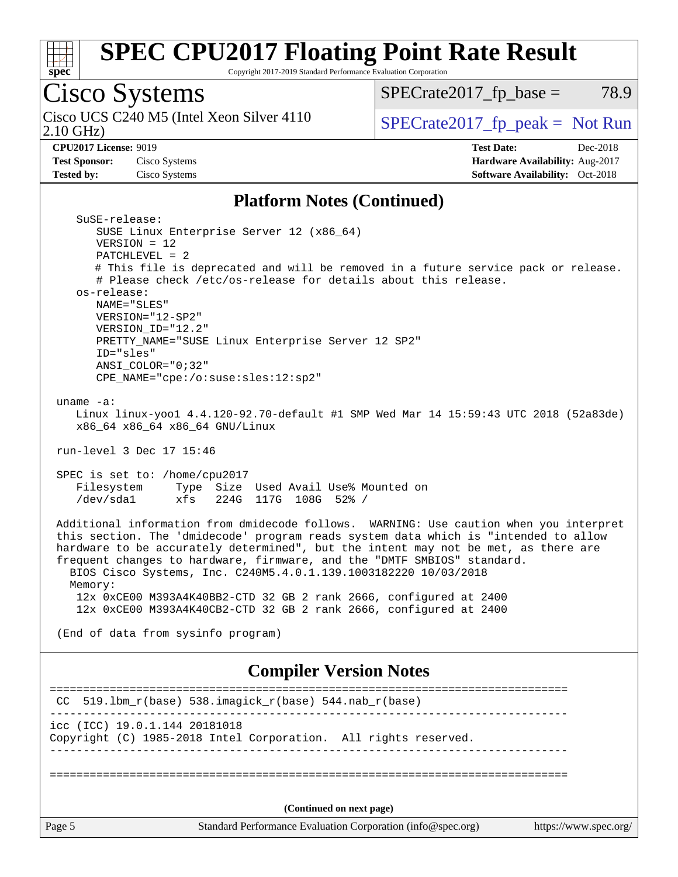

Copyright 2017-2019 Standard Performance Evaluation Corporation

# Cisco Systems<br>Cisco UCS C240 M5 (Intel Xeon Silver 4110)

2.10 GHz)

 $SPECrate2017_fp\_base = 78.9$ 

 $SPECTate 2017_fp\_peak = Not Run$ 

**[Test Sponsor:](http://www.spec.org/auto/cpu2017/Docs/result-fields.html#TestSponsor)** Cisco Systems **[Hardware Availability:](http://www.spec.org/auto/cpu2017/Docs/result-fields.html#HardwareAvailability)** Aug-2017 **[Tested by:](http://www.spec.org/auto/cpu2017/Docs/result-fields.html#Testedby)** Cisco Systems **[Software Availability:](http://www.spec.org/auto/cpu2017/Docs/result-fields.html#SoftwareAvailability)** Oct-2018

**[CPU2017 License:](http://www.spec.org/auto/cpu2017/Docs/result-fields.html#CPU2017License)** 9019 **[Test Date:](http://www.spec.org/auto/cpu2017/Docs/result-fields.html#TestDate)** Dec-2018

#### **[Platform Notes \(Continued\)](http://www.spec.org/auto/cpu2017/Docs/result-fields.html#PlatformNotes)**

| SuSE-release:<br>SUSE Linux Enterprise Server 12 (x86_64)                                                                                                     |                       |
|---------------------------------------------------------------------------------------------------------------------------------------------------------------|-----------------------|
| $VERSION = 12$                                                                                                                                                |                       |
| $PATCHLEVEL = 2$                                                                                                                                              |                       |
| # This file is deprecated and will be removed in a future service pack or release.<br># Please check /etc/os-release for details about this release.          |                       |
| os-release:                                                                                                                                                   |                       |
| NAME="SLES"                                                                                                                                                   |                       |
| VERSION="12-SP2"                                                                                                                                              |                       |
| VERSION_ID="12.2"<br>PRETTY_NAME="SUSE Linux Enterprise Server 12 SP2"                                                                                        |                       |
| ID="sles"                                                                                                                                                     |                       |
| $ANSI\_COLOR = "0;32"$                                                                                                                                        |                       |
| CPE_NAME="cpe:/o:suse:sles:12:sp2"                                                                                                                            |                       |
| uname $-a$ :                                                                                                                                                  |                       |
| Linux linux-yool 4.4.120-92.70-default #1 SMP Wed Mar 14 15:59:43 UTC 2018 (52a83de)                                                                          |                       |
| x86_64 x86_64 x86_64 GNU/Linux                                                                                                                                |                       |
| run-level 3 Dec 17 15:46                                                                                                                                      |                       |
|                                                                                                                                                               |                       |
| SPEC is set to: /home/cpu2017                                                                                                                                 |                       |
| Filesystem<br>Type Size Used Avail Use% Mounted on<br>/dev/sda1<br>xfs 224G 117G 108G 52% /                                                                   |                       |
|                                                                                                                                                               |                       |
| Additional information from dmidecode follows. WARNING: Use caution when you interpret                                                                        |                       |
| this section. The 'dmidecode' program reads system data which is "intended to allow                                                                           |                       |
| hardware to be accurately determined", but the intent may not be met, as there are<br>frequent changes to hardware, firmware, and the "DMTF SMBIOS" standard. |                       |
| BIOS Cisco Systems, Inc. C240M5.4.0.1.139.1003182220 10/03/2018                                                                                               |                       |
| Memory:                                                                                                                                                       |                       |
| 12x 0xCE00 M393A4K40BB2-CTD 32 GB 2 rank 2666, configured at 2400                                                                                             |                       |
| 12x 0xCE00 M393A4K40CB2-CTD 32 GB 2 rank 2666, configured at 2400                                                                                             |                       |
| (End of data from sysinfo program)                                                                                                                            |                       |
|                                                                                                                                                               |                       |
| <b>Compiler Version Notes</b>                                                                                                                                 |                       |
|                                                                                                                                                               |                       |
| 519.1bm_r(base) 538.imagick_r(base) 544.nab_r(base)<br>CC.                                                                                                    |                       |
| icc (ICC) 19.0.1.144 20181018                                                                                                                                 |                       |
| Copyright (C) 1985-2018 Intel Corporation. All rights reserved.                                                                                               |                       |
|                                                                                                                                                               |                       |
|                                                                                                                                                               |                       |
|                                                                                                                                                               |                       |
| (Continued on next page)                                                                                                                                      |                       |
| Page 5<br>Standard Performance Evaluation Corporation (info@spec.org)                                                                                         | https://www.spec.org/ |
|                                                                                                                                                               |                       |
|                                                                                                                                                               |                       |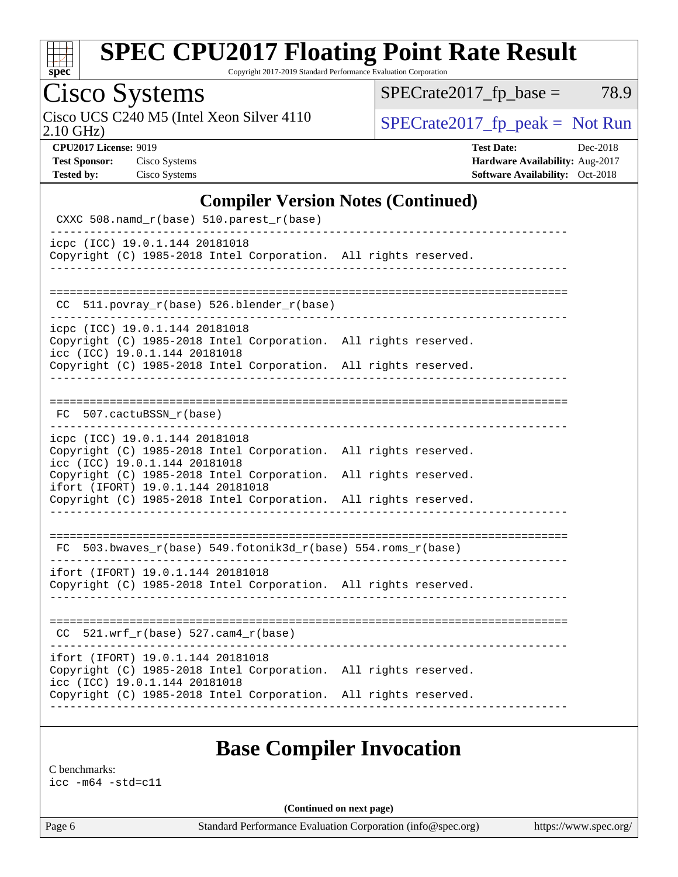

Copyright 2017-2019 Standard Performance Evaluation Corporation

Cisco Systems

2.10 GHz) Cisco UCS C240 M5 (Intel Xeon Silver 4110  $SPECrate2017_fp\_peak = Not Run$ 

 $SPECTate2017_fp\_base = 78.9$ 

**[CPU2017 License:](http://www.spec.org/auto/cpu2017/Docs/result-fields.html#CPU2017License)** 9019 **[Test Date:](http://www.spec.org/auto/cpu2017/Docs/result-fields.html#TestDate)** Dec-2018 **[Test Sponsor:](http://www.spec.org/auto/cpu2017/Docs/result-fields.html#TestSponsor)** Cisco Systems **[Hardware Availability:](http://www.spec.org/auto/cpu2017/Docs/result-fields.html#HardwareAvailability)** Aug-2017 **[Tested by:](http://www.spec.org/auto/cpu2017/Docs/result-fields.html#Testedby)** Cisco Systems **[Software Availability:](http://www.spec.org/auto/cpu2017/Docs/result-fields.html#SoftwareAvailability)** Oct-2018

### **[Compiler Version Notes \(Continued\)](http://www.spec.org/auto/cpu2017/Docs/result-fields.html#CompilerVersionNotes)**

| CXXC 508.namd_r(base) 510.parest_r(base)                                                                                              |  |
|---------------------------------------------------------------------------------------------------------------------------------------|--|
| icpc (ICC) 19.0.1.144 20181018<br>Copyright (C) 1985-2018 Intel Corporation. All rights reserved.                                     |  |
|                                                                                                                                       |  |
| 511.povray_r(base) 526.blender_r(base)<br>CC.                                                                                         |  |
| icpc (ICC) 19.0.1.144 20181018<br>Copyright (C) 1985-2018 Intel Corporation. All rights reserved.<br>icc (ICC) 19.0.1.144 20181018    |  |
| Copyright (C) 1985-2018 Intel Corporation. All rights reserved.                                                                       |  |
| FC 507.cactuBSSN_r(base)                                                                                                              |  |
| icpc (ICC) 19.0.1.144 20181018<br>Copyright (C) 1985-2018 Intel Corporation. All rights reserved.<br>icc (ICC) 19.0.1.144 20181018    |  |
| Copyright (C) 1985-2018 Intel Corporation. All rights reserved.<br>ifort (IFORT) 19.0.1.144 20181018                                  |  |
| Copyright (C) 1985-2018 Intel Corporation. All rights reserved.                                                                       |  |
|                                                                                                                                       |  |
| FC 503.bwaves_r(base) 549.fotonik3d_r(base) 554.roms_r(base)                                                                          |  |
| ifort (IFORT) 19.0.1.144 20181018<br>Copyright (C) 1985-2018 Intel Corporation. All rights reserved.                                  |  |
| $CC$ 521.wrf_r(base) 527.cam4_r(base)                                                                                                 |  |
| ifort (IFORT) 19.0.1.144 20181018<br>Copyright (C) 1985-2018 Intel Corporation. All rights reserved.<br>icc (ICC) 19.0.1.144 20181018 |  |
| Copyright (C) 1985-2018 Intel Corporation. All rights reserved.                                                                       |  |
|                                                                                                                                       |  |

### **[Base Compiler Invocation](http://www.spec.org/auto/cpu2017/Docs/result-fields.html#BaseCompilerInvocation)**

[C benchmarks:](http://www.spec.org/auto/cpu2017/Docs/result-fields.html#Cbenchmarks) [icc -m64 -std=c11](http://www.spec.org/cpu2017/results/res2019q1/cpu2017-20190108-10656.flags.html#user_CCbase_intel_icc_64bit_c11_33ee0cdaae7deeeab2a9725423ba97205ce30f63b9926c2519791662299b76a0318f32ddfffdc46587804de3178b4f9328c46fa7c2b0cd779d7a61945c91cd35)

**(Continued on next page)**

Page 6 Standard Performance Evaluation Corporation [\(info@spec.org\)](mailto:info@spec.org) <https://www.spec.org/>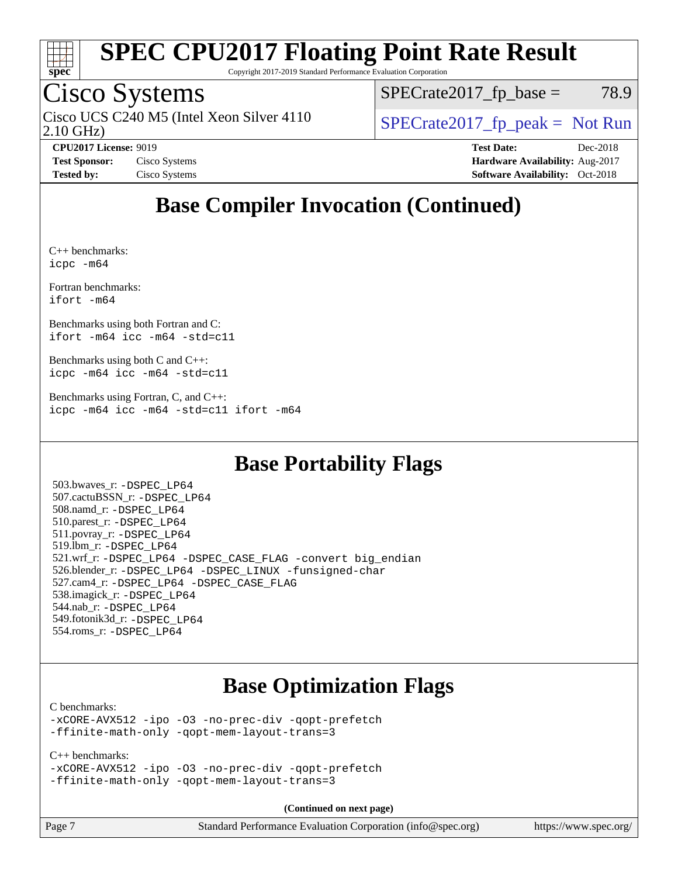

Copyright 2017-2019 Standard Performance Evaluation Corporation

## Cisco Systems

2.10 GHz) Cisco UCS C240 M5 (Intel Xeon Silver 4110  $\big|$  SPECrate 2017 fp peak = Not Run

 $SPECTate2017<sub>fp</sub> base = 78.9$ 

**[CPU2017 License:](http://www.spec.org/auto/cpu2017/Docs/result-fields.html#CPU2017License)** 9019 **[Test Date:](http://www.spec.org/auto/cpu2017/Docs/result-fields.html#TestDate)** Dec-2018 **[Test Sponsor:](http://www.spec.org/auto/cpu2017/Docs/result-fields.html#TestSponsor)** Cisco Systems **Cisco Systems [Hardware Availability:](http://www.spec.org/auto/cpu2017/Docs/result-fields.html#HardwareAvailability)** Aug-2017 **[Tested by:](http://www.spec.org/auto/cpu2017/Docs/result-fields.html#Testedby)** Cisco Systems **[Software Availability:](http://www.spec.org/auto/cpu2017/Docs/result-fields.html#SoftwareAvailability)** Oct-2018

### **[Base Compiler Invocation \(Continued\)](http://www.spec.org/auto/cpu2017/Docs/result-fields.html#BaseCompilerInvocation)**

[C++ benchmarks](http://www.spec.org/auto/cpu2017/Docs/result-fields.html#CXXbenchmarks): [icpc -m64](http://www.spec.org/cpu2017/results/res2019q1/cpu2017-20190108-10656.flags.html#user_CXXbase_intel_icpc_64bit_4ecb2543ae3f1412ef961e0650ca070fec7b7afdcd6ed48761b84423119d1bf6bdf5cad15b44d48e7256388bc77273b966e5eb805aefd121eb22e9299b2ec9d9)

[Fortran benchmarks](http://www.spec.org/auto/cpu2017/Docs/result-fields.html#Fortranbenchmarks): [ifort -m64](http://www.spec.org/cpu2017/results/res2019q1/cpu2017-20190108-10656.flags.html#user_FCbase_intel_ifort_64bit_24f2bb282fbaeffd6157abe4f878425411749daecae9a33200eee2bee2fe76f3b89351d69a8130dd5949958ce389cf37ff59a95e7a40d588e8d3a57e0c3fd751)

[Benchmarks using both Fortran and C:](http://www.spec.org/auto/cpu2017/Docs/result-fields.html#BenchmarksusingbothFortranandC) [ifort -m64](http://www.spec.org/cpu2017/results/res2019q1/cpu2017-20190108-10656.flags.html#user_CC_FCbase_intel_ifort_64bit_24f2bb282fbaeffd6157abe4f878425411749daecae9a33200eee2bee2fe76f3b89351d69a8130dd5949958ce389cf37ff59a95e7a40d588e8d3a57e0c3fd751) [icc -m64 -std=c11](http://www.spec.org/cpu2017/results/res2019q1/cpu2017-20190108-10656.flags.html#user_CC_FCbase_intel_icc_64bit_c11_33ee0cdaae7deeeab2a9725423ba97205ce30f63b9926c2519791662299b76a0318f32ddfffdc46587804de3178b4f9328c46fa7c2b0cd779d7a61945c91cd35)

[Benchmarks using both C and C++](http://www.spec.org/auto/cpu2017/Docs/result-fields.html#BenchmarksusingbothCandCXX): [icpc -m64](http://www.spec.org/cpu2017/results/res2019q1/cpu2017-20190108-10656.flags.html#user_CC_CXXbase_intel_icpc_64bit_4ecb2543ae3f1412ef961e0650ca070fec7b7afdcd6ed48761b84423119d1bf6bdf5cad15b44d48e7256388bc77273b966e5eb805aefd121eb22e9299b2ec9d9) [icc -m64 -std=c11](http://www.spec.org/cpu2017/results/res2019q1/cpu2017-20190108-10656.flags.html#user_CC_CXXbase_intel_icc_64bit_c11_33ee0cdaae7deeeab2a9725423ba97205ce30f63b9926c2519791662299b76a0318f32ddfffdc46587804de3178b4f9328c46fa7c2b0cd779d7a61945c91cd35)

[Benchmarks using Fortran, C, and C++:](http://www.spec.org/auto/cpu2017/Docs/result-fields.html#BenchmarksusingFortranCandCXX) [icpc -m64](http://www.spec.org/cpu2017/results/res2019q1/cpu2017-20190108-10656.flags.html#user_CC_CXX_FCbase_intel_icpc_64bit_4ecb2543ae3f1412ef961e0650ca070fec7b7afdcd6ed48761b84423119d1bf6bdf5cad15b44d48e7256388bc77273b966e5eb805aefd121eb22e9299b2ec9d9) [icc -m64 -std=c11](http://www.spec.org/cpu2017/results/res2019q1/cpu2017-20190108-10656.flags.html#user_CC_CXX_FCbase_intel_icc_64bit_c11_33ee0cdaae7deeeab2a9725423ba97205ce30f63b9926c2519791662299b76a0318f32ddfffdc46587804de3178b4f9328c46fa7c2b0cd779d7a61945c91cd35) [ifort -m64](http://www.spec.org/cpu2017/results/res2019q1/cpu2017-20190108-10656.flags.html#user_CC_CXX_FCbase_intel_ifort_64bit_24f2bb282fbaeffd6157abe4f878425411749daecae9a33200eee2bee2fe76f3b89351d69a8130dd5949958ce389cf37ff59a95e7a40d588e8d3a57e0c3fd751)

### **[Base Portability Flags](http://www.spec.org/auto/cpu2017/Docs/result-fields.html#BasePortabilityFlags)**

 503.bwaves\_r: [-DSPEC\\_LP64](http://www.spec.org/cpu2017/results/res2019q1/cpu2017-20190108-10656.flags.html#suite_basePORTABILITY503_bwaves_r_DSPEC_LP64) 507.cactuBSSN\_r: [-DSPEC\\_LP64](http://www.spec.org/cpu2017/results/res2019q1/cpu2017-20190108-10656.flags.html#suite_basePORTABILITY507_cactuBSSN_r_DSPEC_LP64) 508.namd\_r: [-DSPEC\\_LP64](http://www.spec.org/cpu2017/results/res2019q1/cpu2017-20190108-10656.flags.html#suite_basePORTABILITY508_namd_r_DSPEC_LP64) 510.parest\_r: [-DSPEC\\_LP64](http://www.spec.org/cpu2017/results/res2019q1/cpu2017-20190108-10656.flags.html#suite_basePORTABILITY510_parest_r_DSPEC_LP64) 511.povray\_r: [-DSPEC\\_LP64](http://www.spec.org/cpu2017/results/res2019q1/cpu2017-20190108-10656.flags.html#suite_basePORTABILITY511_povray_r_DSPEC_LP64) 519.lbm\_r: [-DSPEC\\_LP64](http://www.spec.org/cpu2017/results/res2019q1/cpu2017-20190108-10656.flags.html#suite_basePORTABILITY519_lbm_r_DSPEC_LP64) 521.wrf\_r: [-DSPEC\\_LP64](http://www.spec.org/cpu2017/results/res2019q1/cpu2017-20190108-10656.flags.html#suite_basePORTABILITY521_wrf_r_DSPEC_LP64) [-DSPEC\\_CASE\\_FLAG](http://www.spec.org/cpu2017/results/res2019q1/cpu2017-20190108-10656.flags.html#b521.wrf_r_baseCPORTABILITY_DSPEC_CASE_FLAG) [-convert big\\_endian](http://www.spec.org/cpu2017/results/res2019q1/cpu2017-20190108-10656.flags.html#user_baseFPORTABILITY521_wrf_r_convert_big_endian_c3194028bc08c63ac5d04de18c48ce6d347e4e562e8892b8bdbdc0214820426deb8554edfa529a3fb25a586e65a3d812c835984020483e7e73212c4d31a38223) 526.blender\_r: [-DSPEC\\_LP64](http://www.spec.org/cpu2017/results/res2019q1/cpu2017-20190108-10656.flags.html#suite_basePORTABILITY526_blender_r_DSPEC_LP64) [-DSPEC\\_LINUX](http://www.spec.org/cpu2017/results/res2019q1/cpu2017-20190108-10656.flags.html#b526.blender_r_baseCPORTABILITY_DSPEC_LINUX) [-funsigned-char](http://www.spec.org/cpu2017/results/res2019q1/cpu2017-20190108-10656.flags.html#user_baseCPORTABILITY526_blender_r_force_uchar_40c60f00ab013830e2dd6774aeded3ff59883ba5a1fc5fc14077f794d777847726e2a5858cbc7672e36e1b067e7e5c1d9a74f7176df07886a243d7cc18edfe67) 527.cam4\_r: [-DSPEC\\_LP64](http://www.spec.org/cpu2017/results/res2019q1/cpu2017-20190108-10656.flags.html#suite_basePORTABILITY527_cam4_r_DSPEC_LP64) [-DSPEC\\_CASE\\_FLAG](http://www.spec.org/cpu2017/results/res2019q1/cpu2017-20190108-10656.flags.html#b527.cam4_r_baseCPORTABILITY_DSPEC_CASE_FLAG) 538.imagick\_r: [-DSPEC\\_LP64](http://www.spec.org/cpu2017/results/res2019q1/cpu2017-20190108-10656.flags.html#suite_basePORTABILITY538_imagick_r_DSPEC_LP64) 544.nab\_r: [-DSPEC\\_LP64](http://www.spec.org/cpu2017/results/res2019q1/cpu2017-20190108-10656.flags.html#suite_basePORTABILITY544_nab_r_DSPEC_LP64) 549.fotonik3d\_r: [-DSPEC\\_LP64](http://www.spec.org/cpu2017/results/res2019q1/cpu2017-20190108-10656.flags.html#suite_basePORTABILITY549_fotonik3d_r_DSPEC_LP64) 554.roms\_r: [-DSPEC\\_LP64](http://www.spec.org/cpu2017/results/res2019q1/cpu2017-20190108-10656.flags.html#suite_basePORTABILITY554_roms_r_DSPEC_LP64)

### **[Base Optimization Flags](http://www.spec.org/auto/cpu2017/Docs/result-fields.html#BaseOptimizationFlags)**

#### [C benchmarks](http://www.spec.org/auto/cpu2017/Docs/result-fields.html#Cbenchmarks):

[-xCORE-AVX512](http://www.spec.org/cpu2017/results/res2019q1/cpu2017-20190108-10656.flags.html#user_CCbase_f-xCORE-AVX512) [-ipo](http://www.spec.org/cpu2017/results/res2019q1/cpu2017-20190108-10656.flags.html#user_CCbase_f-ipo) [-O3](http://www.spec.org/cpu2017/results/res2019q1/cpu2017-20190108-10656.flags.html#user_CCbase_f-O3) [-no-prec-div](http://www.spec.org/cpu2017/results/res2019q1/cpu2017-20190108-10656.flags.html#user_CCbase_f-no-prec-div) [-qopt-prefetch](http://www.spec.org/cpu2017/results/res2019q1/cpu2017-20190108-10656.flags.html#user_CCbase_f-qopt-prefetch) [-ffinite-math-only](http://www.spec.org/cpu2017/results/res2019q1/cpu2017-20190108-10656.flags.html#user_CCbase_f_finite_math_only_cb91587bd2077682c4b38af759c288ed7c732db004271a9512da14a4f8007909a5f1427ecbf1a0fb78ff2a814402c6114ac565ca162485bbcae155b5e4258871) [-qopt-mem-layout-trans=3](http://www.spec.org/cpu2017/results/res2019q1/cpu2017-20190108-10656.flags.html#user_CCbase_f-qopt-mem-layout-trans_de80db37974c74b1f0e20d883f0b675c88c3b01e9d123adea9b28688d64333345fb62bc4a798493513fdb68f60282f9a726aa07f478b2f7113531aecce732043)

#### [C++ benchmarks:](http://www.spec.org/auto/cpu2017/Docs/result-fields.html#CXXbenchmarks)

[-xCORE-AVX512](http://www.spec.org/cpu2017/results/res2019q1/cpu2017-20190108-10656.flags.html#user_CXXbase_f-xCORE-AVX512) [-ipo](http://www.spec.org/cpu2017/results/res2019q1/cpu2017-20190108-10656.flags.html#user_CXXbase_f-ipo) [-O3](http://www.spec.org/cpu2017/results/res2019q1/cpu2017-20190108-10656.flags.html#user_CXXbase_f-O3) [-no-prec-div](http://www.spec.org/cpu2017/results/res2019q1/cpu2017-20190108-10656.flags.html#user_CXXbase_f-no-prec-div) [-qopt-prefetch](http://www.spec.org/cpu2017/results/res2019q1/cpu2017-20190108-10656.flags.html#user_CXXbase_f-qopt-prefetch) [-ffinite-math-only](http://www.spec.org/cpu2017/results/res2019q1/cpu2017-20190108-10656.flags.html#user_CXXbase_f_finite_math_only_cb91587bd2077682c4b38af759c288ed7c732db004271a9512da14a4f8007909a5f1427ecbf1a0fb78ff2a814402c6114ac565ca162485bbcae155b5e4258871) [-qopt-mem-layout-trans=3](http://www.spec.org/cpu2017/results/res2019q1/cpu2017-20190108-10656.flags.html#user_CXXbase_f-qopt-mem-layout-trans_de80db37974c74b1f0e20d883f0b675c88c3b01e9d123adea9b28688d64333345fb62bc4a798493513fdb68f60282f9a726aa07f478b2f7113531aecce732043)

**(Continued on next page)**

| Page 7 | Standard Performance Evaluation Corporation (info@spec.org) | https://www.spec.org/ |
|--------|-------------------------------------------------------------|-----------------------|
|--------|-------------------------------------------------------------|-----------------------|